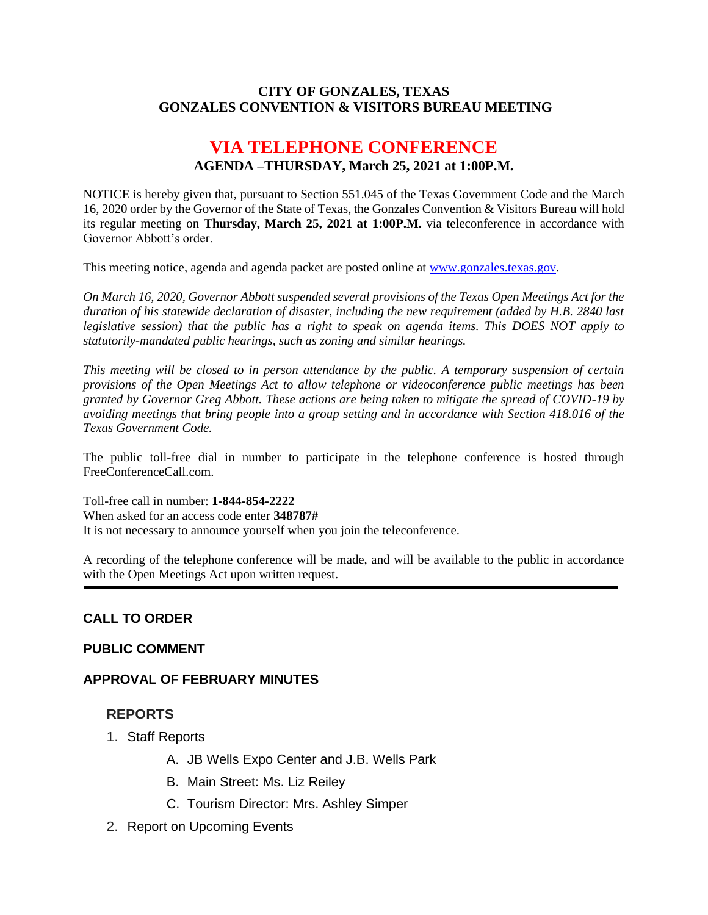#### **CITY OF GONZALES, TEXAS GONZALES CONVENTION & VISITORS BUREAU MEETING**

# **VIA TELEPHONE CONFERENCE AGENDA –THURSDAY, March 25, 2021 at 1:00P.M.**

NOTICE is hereby given that, pursuant to Section 551.045 of the Texas Government Code and the March 16, 2020 order by the Governor of the State of Texas, the Gonzales Convention & Visitors Bureau will hold its regular meeting on **Thursday, March 25, 2021 at 1:00P.M.** via teleconference in accordance with Governor Abbott's order.

This meeting notice, agenda and agenda packet are posted online at [www.gonzales.texas.gov.](http://www.gonzales.texas.gov/)

*On March 16, 2020, Governor Abbott suspended several provisions of the Texas Open Meetings Act for the duration of his statewide declaration of disaster, including the new requirement (added by H.B. 2840 last legislative session) that the public has a right to speak on agenda items. This DOES NOT apply to statutorily-mandated public hearings, such as zoning and similar hearings.* 

*This meeting will be closed to in person attendance by the public. A temporary suspension of certain provisions of the Open Meetings Act to allow telephone or videoconference public meetings has been granted by Governor Greg Abbott. These actions are being taken to mitigate the spread of COVID-19 by avoiding meetings that bring people into a group setting and in accordance with Section 418.016 of the Texas Government Code.*

The public toll-free dial in number to participate in the telephone conference is hosted through FreeConferenceCall.com.

Toll-free call in number: **1-844-854-2222** When asked for an access code enter **348787#** It is not necessary to announce yourself when you join the teleconference.

A recording of the telephone conference will be made, and will be available to the public in accordance with the Open Meetings Act upon written request.

## **CALL TO ORDER**

#### **PUBLIC COMMENT**

#### **APPROVAL OF FEBRUARY MINUTES**

#### **REPORTS**

- 1. Staff Reports
	- A. JB Wells Expo Center and J.B. Wells Park
	- B. Main Street: Ms. Liz Reiley
	- C. Tourism Director: Mrs. Ashley Simper
- 2. Report on Upcoming Events